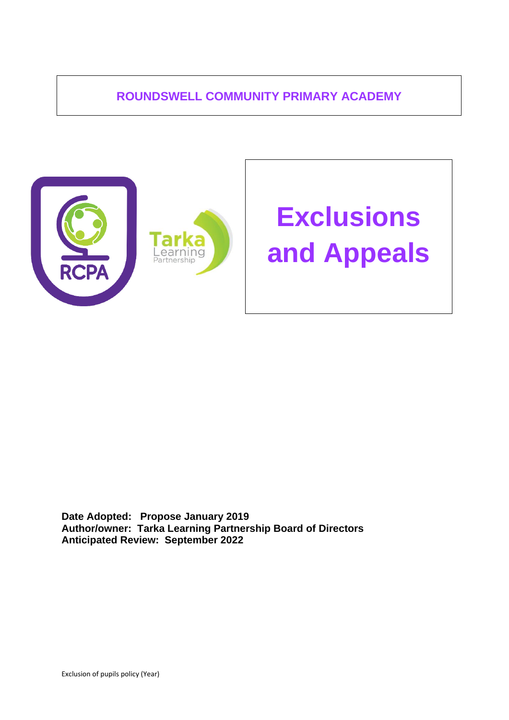# **ROUNDSWELL COMMUNITY PRIMARY ACADEMY**



**Date Adopted: Propose January 2019 Author/owner: Tarka Learning Partnership Board of Directors Anticipated Review: September 2022**

Exclusion of pupils policy (Year)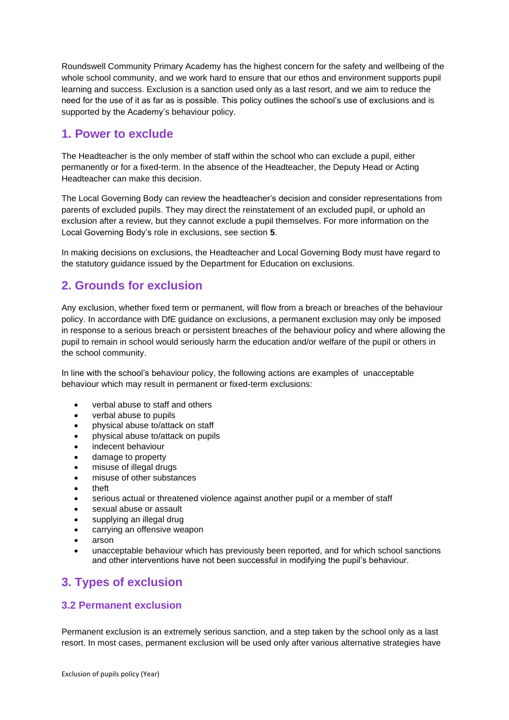Roundswell Community Primary Academy has the highest concern for the safety and wellbeing of the whole school community, and we work hard to ensure that our ethos and environment supports pupil learning and success. Exclusion is a sanction used only as a last resort, and we aim to reduce the need for the use of it as far as is possible. This policy outlines the school's use of exclusions and is supported by the Academy's behaviour policy.

# **1. Power to exclude**

The Headteacher is the only member of staff within the school who can exclude a pupil, either permanently or for a fixed-term. In the absence of the Headteacher, the Deputy Head or Acting Headteacher can make this decision.

The Local Governing Body can review the headteacher's decision and consider representations from parents of excluded pupils. They may direct the reinstatement of an excluded pupil, or uphold an exclusion after a review, but they cannot exclude a pupil themselves. For more information on the Local Governing Body's role in exclusions, see section **5**.

In making decisions on exclusions, the Headteacher and Local Governing Body must have regard to the statutory guidance issued by the Department for Education on exclusions.

# **2. Grounds for exclusion**

Any exclusion, whether fixed term or permanent, will flow from a breach or breaches of the behaviour policy. In accordance with DfE guidance on exclusions, a permanent exclusion may only be imposed in response to a serious breach or persistent breaches of the behaviour policy and where allowing the pupil to remain in school would seriously harm the education and/or welfare of the pupil or others in the school community.

In line with the school's behaviour policy, the following actions are examples of unacceptable behaviour which may result in permanent or fixed-term exclusions:

- verbal abuse to staff and others
- verbal abuse to pupils
- physical abuse to/attack on staff
- physical abuse to/attack on pupils
- indecent behaviour
- damage to property
- misuse of illegal drugs
- misuse of other substances
- theft
- serious actual or threatened violence against another pupil or a member of staff
- sexual abuse or assault
- supplying an illegal drug
- carrying an offensive weapon
- arson
- unacceptable behaviour which has previously been reported, and for which school sanctions and other interventions have not been successful in modifying the pupil's behaviour.

# **3. Types of exclusion**

## **3.2 Permanent exclusion**

Permanent exclusion is an extremely serious sanction, and a step taken by the school only as a last resort. In most cases, permanent exclusion will be used only after various alternative strategies have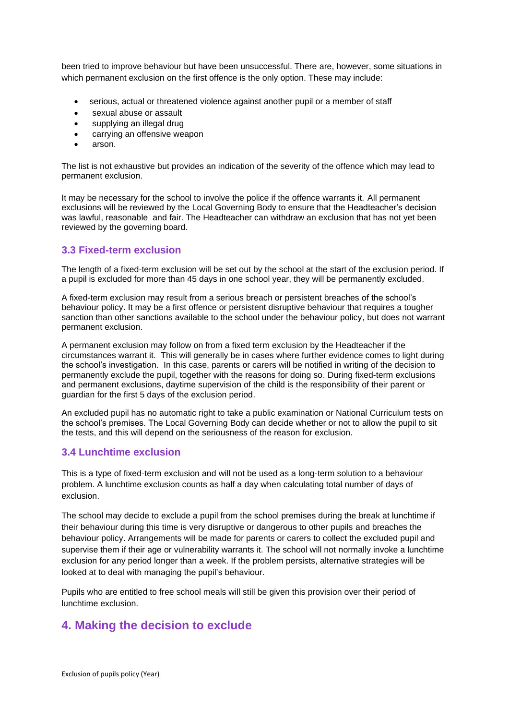been tried to improve behaviour but have been unsuccessful. There are, however, some situations in which permanent exclusion on the first offence is the only option. These may include:

- serious, actual or threatened violence against another pupil or a member of staff
- sexual abuse or assault
- supplying an illegal drug
- carrying an offensive weapon
- arson.

The list is not exhaustive but provides an indication of the severity of the offence which may lead to permanent exclusion.

It may be necessary for the school to involve the police if the offence warrants it. All permanent exclusions will be reviewed by the Local Governing Body to ensure that the Headteacher's decision was lawful, reasonable and fair. The Headteacher can withdraw an exclusion that has not yet been reviewed by the governing board.

## **3.3 Fixed-term exclusion**

The length of a fixed-term exclusion will be set out by the school at the start of the exclusion period. If a pupil is excluded for more than 45 days in one school year, they will be permanently excluded.

A fixed-term exclusion may result from a serious breach or persistent breaches of the school's behaviour policy. It may be a first offence or persistent disruptive behaviour that requires a tougher sanction than other sanctions available to the school under the behaviour policy, but does not warrant permanent exclusion.

A permanent exclusion may follow on from a fixed term exclusion by the Headteacher if the circumstances warrant it. This will generally be in cases where further evidence comes to light during the school's investigation. In this case, parents or carers will be notified in writing of the decision to permanently exclude the pupil, together with the reasons for doing so. During fixed-term exclusions and permanent exclusions, daytime supervision of the child is the responsibility of their parent or guardian for the first 5 days of the exclusion period.

An excluded pupil has no automatic right to take a public examination or National Curriculum tests on the school's premises. The Local Governing Body can decide whether or not to allow the pupil to sit the tests, and this will depend on the seriousness of the reason for exclusion.

## **3.4 Lunchtime exclusion**

This is a type of fixed-term exclusion and will not be used as a long-term solution to a behaviour problem. A lunchtime exclusion counts as half a day when calculating total number of days of exclusion.

The school may decide to exclude a pupil from the school premises during the break at lunchtime if their behaviour during this time is very disruptive or dangerous to other pupils and breaches the behaviour policy. Arrangements will be made for parents or carers to collect the excluded pupil and supervise them if their age or vulnerability warrants it. The school will not normally invoke a lunchtime exclusion for any period longer than a week. If the problem persists, alternative strategies will be looked at to deal with managing the pupil's behaviour.

Pupils who are entitled to free school meals will still be given this provision over their period of lunchtime exclusion.

# **4. Making the decision to exclude**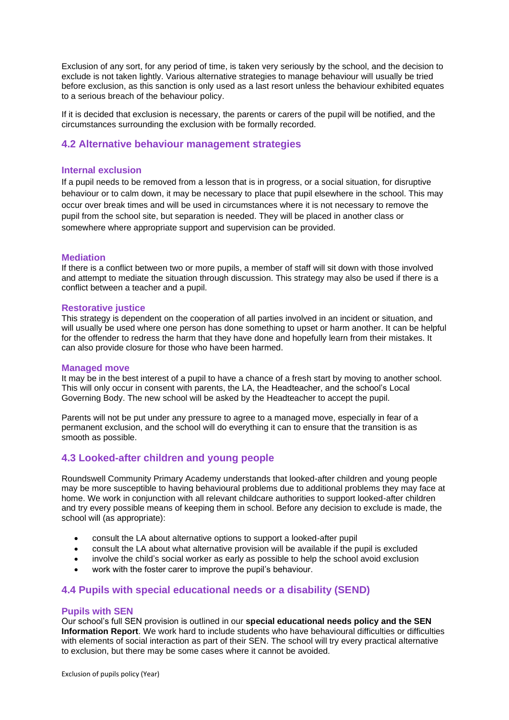Exclusion of any sort, for any period of time, is taken very seriously by the school, and the decision to exclude is not taken lightly. Various alternative strategies to manage behaviour will usually be tried before exclusion, as this sanction is only used as a last resort unless the behaviour exhibited equates to a serious breach of the behaviour policy.

If it is decided that exclusion is necessary, the parents or carers of the pupil will be notified, and the circumstances surrounding the exclusion with be formally recorded.

### **4.2 Alternative behaviour management strategies**

#### **Internal exclusion**

If a pupil needs to be removed from a lesson that is in progress, or a social situation, for disruptive behaviour or to calm down, it may be necessary to place that pupil elsewhere in the school. This may occur over break times and will be used in circumstances where it is not necessary to remove the pupil from the school site, but separation is needed. They will be placed in another class or somewhere where appropriate support and supervision can be provided.

#### **Mediation**

If there is a conflict between two or more pupils, a member of staff will sit down with those involved and attempt to mediate the situation through discussion. This strategy may also be used if there is a conflict between a teacher and a pupil.

#### **Restorative justice**

This strategy is dependent on the cooperation of all parties involved in an incident or situation, and will usually be used where one person has done something to upset or harm another. It can be helpful for the offender to redress the harm that they have done and hopefully learn from their mistakes. It can also provide closure for those who have been harmed.

#### **Managed move**

It may be in the best interest of a pupil to have a chance of a fresh start by moving to another school. This will only occur in consent with parents, the LA, the Headteacher, and the school's Local Governing Body. The new school will be asked by the Headteacher to accept the pupil.

Parents will not be put under any pressure to agree to a managed move, especially in fear of a permanent exclusion, and the school will do everything it can to ensure that the transition is as smooth as possible.

## **4.3 Looked-after children and young people**

Roundswell Community Primary Academy understands that looked-after children and young people may be more susceptible to having behavioural problems due to additional problems they may face at home. We work in conjunction with all relevant childcare authorities to support looked-after children and try every possible means of keeping them in school. Before any decision to exclude is made, the school will (as appropriate):

- consult the LA about alternative options to support a looked-after pupil
- consult the LA about what alternative provision will be available if the pupil is excluded
- involve the child's social worker as early as possible to help the school avoid exclusion
- work with the foster carer to improve the pupil's behaviour.

#### **4.4 Pupils with special educational needs or a disability (SEND)**

#### **Pupils with SEN**

Our school's full SEN provision is outlined in our **special educational needs policy and the SEN Information Report**. We work hard to include students who have behavioural difficulties or difficulties with elements of social interaction as part of their SEN. The school will try every practical alternative to exclusion, but there may be some cases where it cannot be avoided.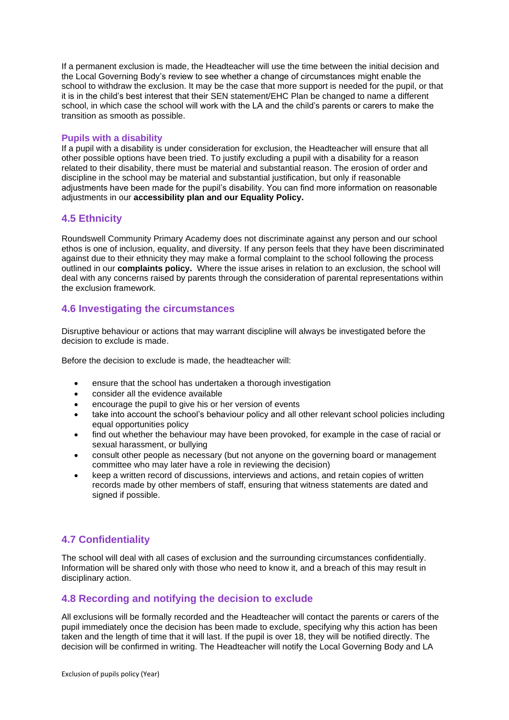If a permanent exclusion is made, the Headteacher will use the time between the initial decision and the Local Governing Body's review to see whether a change of circumstances might enable the school to withdraw the exclusion. It may be the case that more support is needed for the pupil, or that it is in the child's best interest that their SEN statement/EHC Plan be changed to name a different school, in which case the school will work with the LA and the child's parents or carers to make the transition as smooth as possible.

#### **Pupils with a disability**

If a pupil with a disability is under consideration for exclusion, the Headteacher will ensure that all other possible options have been tried. To justify excluding a pupil with a disability for a reason related to their disability, there must be material and substantial reason. The erosion of order and discipline in the school may be material and substantial justification, but only if reasonable adjustments have been made for the pupil's disability. You can find more information on reasonable adjustments in our **accessibility plan and our Equality Policy.**

### **4.5 Ethnicity**

Roundswell Community Primary Academy does not discriminate against any person and our school ethos is one of inclusion, equality, and diversity. If any person feels that they have been discriminated against due to their ethnicity they may make a formal complaint to the school following the process outlined in our **complaints policy.** Where the issue arises in relation to an exclusion, the school will deal with any concerns raised by parents through the consideration of parental representations within the exclusion framework.

### **4.6 Investigating the circumstances**

Disruptive behaviour or actions that may warrant discipline will always be investigated before the decision to exclude is made.

Before the decision to exclude is made, the headteacher will:

- ensure that the school has undertaken a thorough investigation
- consider all the evidence available
- encourage the pupil to give his or her version of events
- take into account the school's behaviour policy and all other relevant school policies including equal opportunities policy
- find out whether the behaviour may have been provoked, for example in the case of racial or sexual harassment, or bullying
- consult other people as necessary (but not anyone on the governing board or management committee who may later have a role in reviewing the decision)
- keep a written record of discussions, interviews and actions, and retain copies of written records made by other members of staff, ensuring that witness statements are dated and signed if possible.

## **4.7 Confidentiality**

The school will deal with all cases of exclusion and the surrounding circumstances confidentially. Information will be shared only with those who need to know it, and a breach of this may result in disciplinary action.

## **4.8 Recording and notifying the decision to exclude**

All exclusions will be formally recorded and the Headteacher will contact the parents or carers of the pupil immediately once the decision has been made to exclude, specifying why this action has been taken and the length of time that it will last. If the pupil is over 18, they will be notified directly. The decision will be confirmed in writing. The Headteacher will notify the Local Governing Body and LA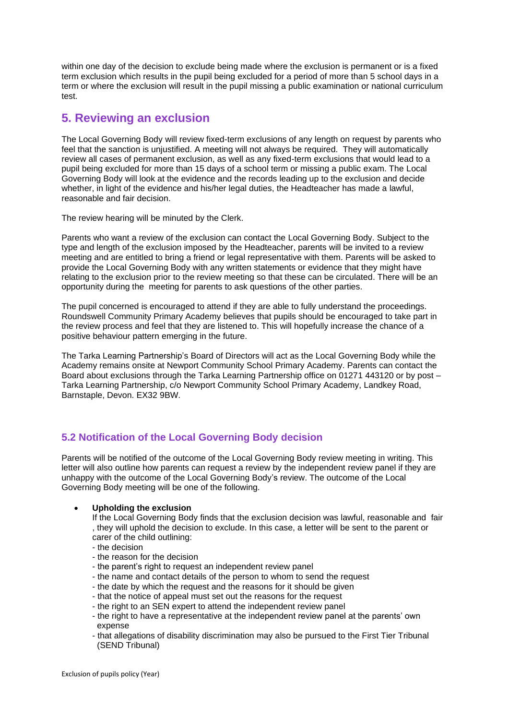within one day of the decision to exclude being made where the exclusion is permanent or is a fixed term exclusion which results in the pupil being excluded for a period of more than 5 school days in a term or where the exclusion will result in the pupil missing a public examination or national curriculum test.

# **5. Reviewing an exclusion**

The Local Governing Body will review fixed-term exclusions of any length on request by parents who feel that the sanction is unjustified. A meeting will not always be required. They will automatically review all cases of permanent exclusion, as well as any fixed-term exclusions that would lead to a pupil being excluded for more than 15 days of a school term or missing a public exam. The Local Governing Body will look at the evidence and the records leading up to the exclusion and decide whether, in light of the evidence and his/her legal duties, the Headteacher has made a lawful, reasonable and fair decision.

The review hearing will be minuted by the Clerk.

Parents who want a review of the exclusion can contact the Local Governing Body. Subject to the type and length of the exclusion imposed by the Headteacher, parents will be invited to a review meeting and are entitled to bring a friend or legal representative with them. Parents will be asked to provide the Local Governing Body with any written statements or evidence that they might have relating to the exclusion prior to the review meeting so that these can be circulated. There will be an opportunity during the meeting for parents to ask questions of the other parties.

The pupil concerned is encouraged to attend if they are able to fully understand the proceedings. Roundswell Community Primary Academy believes that pupils should be encouraged to take part in the review process and feel that they are listened to. This will hopefully increase the chance of a positive behaviour pattern emerging in the future.

The Tarka Learning Partnership's Board of Directors will act as the Local Governing Body while the Academy remains onsite at Newport Community School Primary Academy. Parents can contact the Board about exclusions through the Tarka Learning Partnership office on 01271 443120 or by post – Tarka Learning Partnership, c/o Newport Community School Primary Academy, Landkey Road, Barnstaple, Devon. EX32 9BW.

# **5.2 Notification of the Local Governing Body decision**

Parents will be notified of the outcome of the Local Governing Body review meeting in writing. This letter will also outline how parents can request a review by the independent review panel if they are unhappy with the outcome of the Local Governing Body's review. The outcome of the Local Governing Body meeting will be one of the following.

#### • **Upholding the exclusion**

If the Local Governing Body finds that the exclusion decision was lawful, reasonable and fair , they will uphold the decision to exclude. In this case, a letter will be sent to the parent or

- carer of the child outlining:
- the decision
- the reason for the decision
- the parent's right to request an independent review panel
- the name and contact details of the person to whom to send the request
- the date by which the request and the reasons for it should be given
- that the notice of appeal must set out the reasons for the request
- the right to an SEN expert to attend the independent review panel
- the right to have a representative at the independent review panel at the parents' own expense
- that allegations of disability discrimination may also be pursued to the First Tier Tribunal (SEND Tribunal)